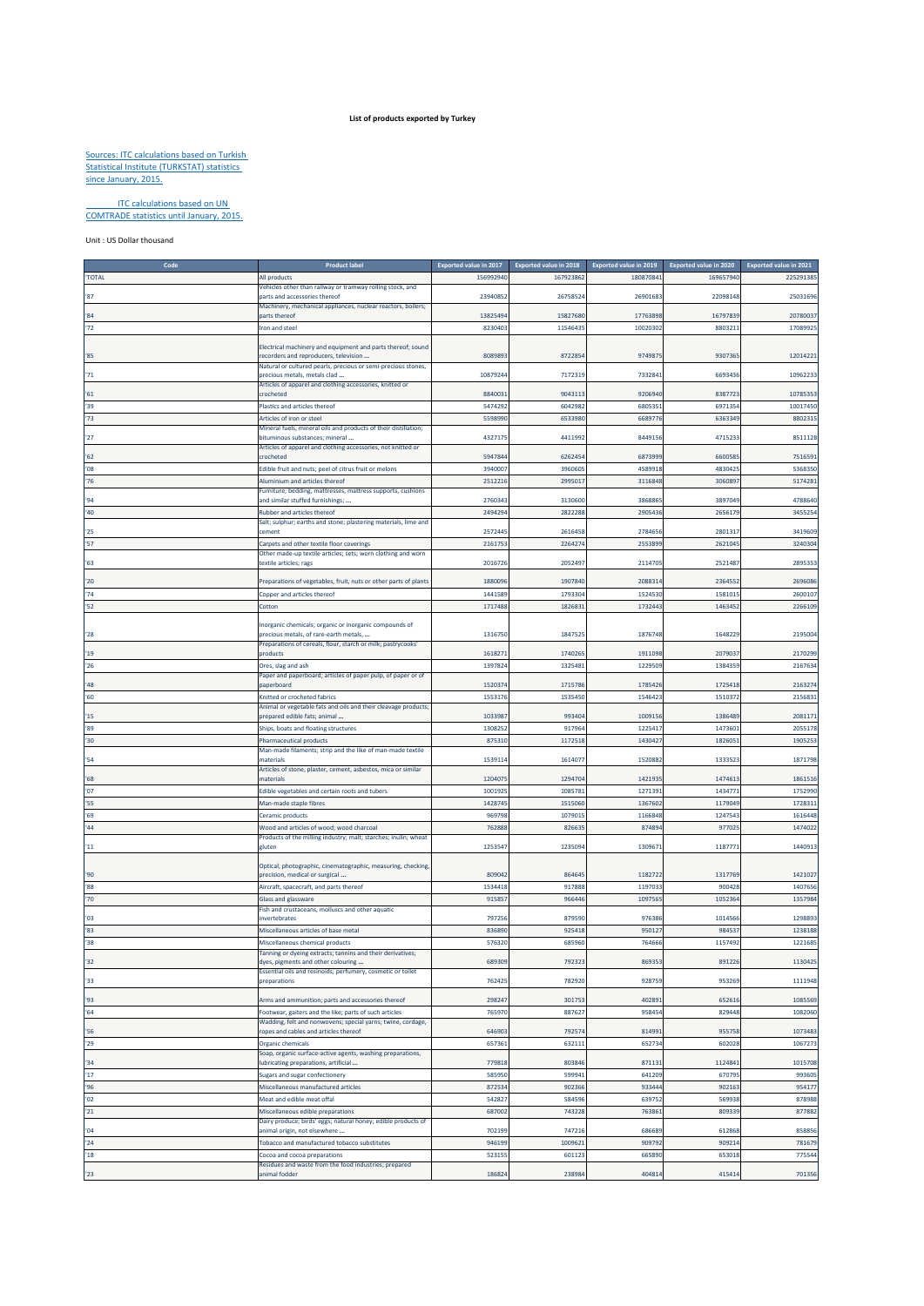## **List of products exported by Turkey**

## Sources: ITC calculations based on Turkish Statistical Institute (TURKSTAT) statistics since January, 2015.

## ITC calculations based on UN COMTRADE statistics until January, 2015.

Unit : US Dollar thousand

| Cod           | <b>Product label</b>                                                                       | <b>Exported value in 2017</b> | Exported value in 2018 | Exported value in 2019 | Exported value in 2020 | Exported value in 2021 |
|---------------|--------------------------------------------------------------------------------------------|-------------------------------|------------------------|------------------------|------------------------|------------------------|
| 'TOTAL        | All products                                                                               | 156992940                     | 167923862              | 180870841              | 169657940              | 225291385              |
|               |                                                                                            |                               |                        |                        |                        |                        |
| '87           | Vehicles other than railway or tramway rolling stock, and<br>parts and accessories thereof | 23940852                      | 2675852                | 26901683               | 22098148               | 25031696               |
|               |                                                                                            |                               |                        |                        |                        |                        |
| '84           | Machinery, mechanical appliances, nuclear reactors, boilers;                               | 13825494                      |                        |                        |                        |                        |
|               | parts thereof                                                                              |                               | 1582768                | 17763898               | 16797839               | 2078003                |
| '72           | Iron and steel                                                                             | 8230403                       | 1154643                | 10020302               | 8803211                | 1708992                |
|               |                                                                                            |                               |                        |                        |                        |                        |
|               | Electrical machinery and equipment and parts thereof; sound                                |                               |                        |                        |                        |                        |
| '85           | recorders and reproducers, television                                                      | 8089893                       | 8722854                | 974987                 | 9307365                | 12014221               |
|               | Natural or cultured pearls, precious or semi-precious stones,                              |                               |                        |                        |                        |                        |
| '71           | precious metals, metals clad                                                               | 1087924                       | 7172319                | 733284                 | 6693436                | 1096223                |
|               | Articles of apparel and clothing accessories, knitted or                                   |                               |                        |                        |                        |                        |
| 51            | crocheted                                                                                  | 8840033                       | 904311                 | 9206940                | 838772                 | 1078535                |
| '39           |                                                                                            | 5474292                       | 604298                 | 6805351                |                        |                        |
|               | Plastics and articles thereof                                                              |                               |                        |                        | 697135                 | 10017450               |
| 73            | Articles of iron or steel                                                                  | 5598990                       | 653398                 | 6689776                | 636334                 | 880231                 |
|               | Mineral fuels, mineral oils and products of their distillation;                            |                               |                        |                        |                        |                        |
| 27            | bituminous substances; mineral                                                             | 4327175                       | 4411992                | 8449156                | 471523                 | 851112                 |
|               | Articles of apparel and clothing accessories, not knitted or                               |                               |                        |                        |                        |                        |
| 62            | crocheted                                                                                  | 5947844                       | 626245                 | 6873999                | 6600585                | 7516591                |
| '08           | Edible fruit and nuts; peel of citrus fruit or melons                                      | 394000                        | 396060                 | 458991                 | 483042                 | 536835                 |
|               |                                                                                            |                               |                        |                        |                        |                        |
| '76           | Aluminium and articles thereof                                                             | 2512216                       | 2995017                | 3116848                | 3060897                | 517428                 |
|               | Furniture; bedding, mattresses, mattress supports, cushions                                |                               |                        |                        |                        |                        |
| 94            | and similar stuffed furnishings;                                                           | 276034                        | 3130600                | 3868865                | 3897049                | 4788640                |
| '40           | Rubber and articles thereof                                                                | 2494294                       | 2822288                | 2905436                | 2656179                | 3455254                |
|               | Salt; sulphur; earths and stone; plastering materials, lime and                            |                               |                        |                        |                        |                        |
| 25            | cement                                                                                     | 257244                        | 261645                 | 2784656                | 280131                 | 3419609                |
|               |                                                                                            |                               |                        |                        |                        |                        |
| '57           | Carpets and other textile floor coverings                                                  | 216175                        | 226427                 | 2553899                | 262104                 | 324030                 |
|               | Other made-up textile articles; sets; worn clothing and worn                               |                               |                        |                        |                        |                        |
| 63'           | textile articles; rags                                                                     | 2016726                       | 205249                 | 2114705                | 252148                 | 289535                 |
|               |                                                                                            |                               |                        |                        |                        |                        |
| 20            | Preparations of vegetables, fruit, nuts or other parts of plants                           | 1880096                       | 1907840                | 2088314                | 236455                 | 2696086                |
| 74            | Copper and articles thereof                                                                | 1441589                       | 1793304                | 1524530                | 158101                 | 260010                 |
|               |                                                                                            |                               |                        |                        |                        |                        |
| 52            | Cotton                                                                                     | 1717488                       | 182683                 | 1732443                | 1463452                | 2266109                |
|               |                                                                                            |                               |                        |                        |                        |                        |
|               | Inorganic chemicals; organic or inorganic compounds of                                     |                               |                        |                        |                        |                        |
| '28           | precious metals, of rare-earth metals,                                                     | 1316750                       | 184752                 | 1876748                | 164822                 | 219500                 |
|               | Preparations of cereals, flour, starch or milk; pastrycooks'                               |                               |                        |                        |                        |                        |
| '19           | products                                                                                   | 161827                        | 174026                 | 1911098                | 207903                 | 217029                 |
| '26           | Ores, slag and ash                                                                         | 1397824                       | 1325481                | 1229509                | 1384359                | 2167634                |
|               |                                                                                            |                               |                        |                        |                        |                        |
| '48           | Paper and paperboard; articles of paper pulp, of paper or of<br>paperboard                 | 1520374                       | 1715786                | 1785426                | 1725418                | 216327                 |
|               |                                                                                            |                               |                        |                        |                        |                        |
| '60           | Knitted or crocheted fabrics                                                               | 1553176                       | 153545                 | 154642                 | 151037                 | 215683                 |
|               | Animal or vegetable fats and oils and their cleavage products;                             |                               |                        |                        |                        |                        |
| 15            | orepared edible fats; animal                                                               | 1033987                       | 99340                  | 1009156                | 138648                 | 208117                 |
| '89           | Ships, boats and floating structures                                                       | 1308252                       | 917964                 | 1225417                | 1473601                | 2055178                |
|               |                                                                                            |                               |                        |                        |                        |                        |
| $30^{\circ}$  | <b>Pharmaceutical products</b>                                                             | 875310                        | 1172518                | 1430427                | 1826051                | 1905253                |
|               | Man-made filaments; strip and the like of man-made textile                                 |                               |                        |                        |                        |                        |
| '54           | materials                                                                                  | 1539114                       | 161407                 | 1520882                | 1333523                | 1871798                |
|               | Articles of stone, plaster, cement, asbestos, mica or similar                              |                               |                        |                        |                        |                        |
| '68           | materials                                                                                  | 120407                        | 1294704                | 142193                 | 147461                 | 186151                 |
| '07           | Edible vegetables and certain roots and tubers                                             | 100192                        | 1085781                | 1271391                | 143477                 | 175299                 |
|               |                                                                                            |                               |                        |                        |                        |                        |
| '55           | Man-made staple fibres                                                                     | 1428745                       | 1515060                | 1367602                | 1179049                | 172831                 |
| '69           | Ceramic products                                                                           | 969798                        | 1079015                | 1166848                | 1247543                | 1616448                |
| 44            | Wood and articles of wood; wood charcoal                                                   | 762888                        | 82663                  | 87489                  | 97702                  | 147402                 |
|               | Products of the milling industry; malt; starches; inulin; wheat                            |                               |                        |                        |                        |                        |
| $^{\prime}11$ | gluten                                                                                     | 1253547                       | 123509                 | 130967                 | 118777                 | 144091                 |
|               |                                                                                            |                               |                        |                        |                        |                        |
|               |                                                                                            |                               |                        |                        |                        |                        |
|               | Optical, photographic, cinematographic, measuring, checking                                |                               |                        |                        |                        |                        |
| '90           | precision, medical or surgical                                                             | 809042                        | 864645                 | 1182722                | 1317769                | 142102                 |
| '88           | Aircraft, spacecraft, and parts thereof                                                    | 1534418                       | 91788                  | 119703                 | 90042                  | 1407656                |
| '70           | Glass and glassware                                                                        | 915857                        | 966446                 | 1097565                | 1052364                | 1357984                |
|               | Fish and crustaceans, molluscs and other aquatic                                           |                               |                        |                        |                        |                        |
| '03           | nvertebrates                                                                               | 797256                        | 87959                  | 976386                 | 101456                 | 129889                 |
|               |                                                                                            |                               |                        |                        |                        |                        |
| 83            | Miscellaneous articles of base metal                                                       | 836890                        | 925418                 | 95012                  | 98453                  | 1238188                |
| '38           | Miscellaneous chemical products                                                            | 576320                        | 685960                 | 764666                 | 1157492                | 1221685                |
|               | Tanning or dyeing extracts; tannins and their derivatives;                                 |                               |                        |                        |                        |                        |
| 32            | dyes, pigments and other colouring                                                         | 689309                        | 792323                 | 86935                  | 891226                 | 1130425                |
|               | Essential oils and resinoids; perfumery, cosmetic or toilet                                |                               |                        |                        |                        |                        |
| '33           | preparations                                                                               | 762425                        | 782920                 | 928759                 | 953269                 | 1111948                |
|               |                                                                                            |                               |                        |                        |                        |                        |
| '93           | Arms and ammunition; parts and accessories thereof                                         | 298247                        | 301753                 | 402891                 | 65261                  | 1085569                |
|               |                                                                                            |                               |                        |                        |                        |                        |
| 164           | Footwear, gaiters and the like; parts of such articles                                     | 765970                        | 887627                 | 958454                 | 829448                 | 1082060                |
|               | Wadding, felt and nonwovens; special yarns; twine, cordage,                                |                               |                        |                        |                        |                        |
| '56           | ropes and cables and articles thereof                                                      | 646903                        | 792574                 | 814993                 | 955758                 | 1073483                |
| 29            | Organic chemicals                                                                          | 657361                        | 632111                 | 652734                 | 602028                 | 1067273                |
|               | Soap, organic surface-active agents, washing preparations,                                 |                               |                        |                        |                        |                        |
| 34            | lubricating preparations, artificial                                                       | 779818                        | 803846                 | 871131                 | 1124841                | 1015708                |
|               |                                                                                            |                               |                        |                        |                        |                        |
| 17            | Sugars and sugar confectionery                                                             | 585950                        | 599941                 | 641209                 | 670795                 | 993605                 |
| '96           | Miscellaneous manufactured articles                                                        | 872534                        | 902366                 | 933444                 | 902163                 | 954177                 |
| '02           | Meat and edible meat offal                                                                 | 542827                        | 584596                 | 639752                 | 569938                 | 878988                 |
|               |                                                                                            |                               |                        |                        |                        |                        |
| 21            | Miscellaneous edible preparations                                                          | 687002                        | 743228                 | 763861                 | 80933                  | 877882                 |
|               | Dairy produce; birds' eggs; natural honey; edible products of                              |                               |                        |                        |                        |                        |
| '04           | animal origin, not elsewhere                                                               | 702199                        | 747216                 | 686689                 | 612868                 | 858856                 |
| '24           | Tobacco and manufactured tobacco substitutes                                               | 946199                        | 1009621                | 909792                 | 90921                  | 781679                 |
|               |                                                                                            |                               |                        |                        |                        |                        |
| 18            | Cocoa and cocoa preparations                                                               | 523155                        | 601123                 | 665890                 | 653018                 | 775544                 |
|               | Residues and waste from the food industries; prepared                                      |                               |                        |                        |                        |                        |
| '23           | animal fodder                                                                              | 186824                        | 238984                 | 404814                 | 415414                 | 701356                 |